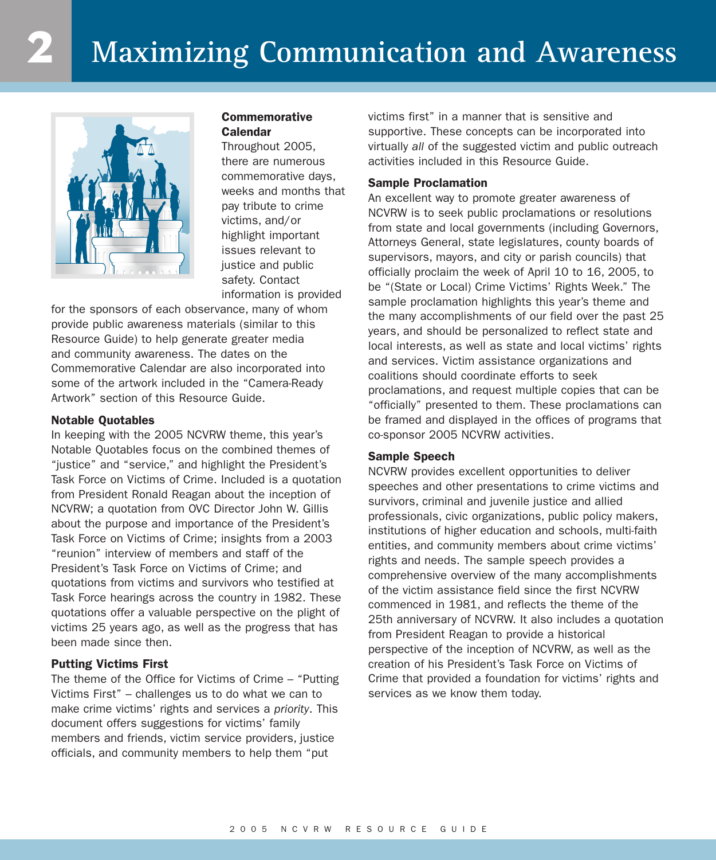

# **Commemorative Calendar**

Throughout 2005, there are numerous commemorative days, weeks and months that pay tribute to crime victims, and/or highlight important issues relevant to justice and public safety. Contact information is provided

for the sponsors of each observance, many of whom provide public awareness materials (similar to this Resource Guide) to help generate greater media and community awareness. The dates on the Commemorative Calendar are also incorporated into some of the artwork included in the "Camera-Ready Artwork" section of this Resource Guide.

### **Notable Quotables**

In keeping with the 2005 NCVRW theme, this year's Notable Quotables focus on the combined themes of "justice" and "service," and highlight the President's Task Force on Victims of Crime. Included is a quotation from President Ronald Reagan about the inception of NCVRW; a quotation from OVC Director John W. Gillis about the purpose and importance of the President's Task Force on Victims of Crime; insights from a 2003 "reunion" interview of members and staff of the President's Task Force on Victims of Crime; and quotations from victims and survivors who testified at Task Force hearings across the country in 1982. These quotations offer a valuable perspective on the plight of victims 25 years ago, as well as the progress that has been made since then.

### **Putting Victims First**

The theme of the Office for Victims of Crime – "Putting Victims First" – challenges us to do what we can to make crime victims' rights and services a *priority*. This document offers suggestions for victims' family members and friends, victim service providers, justice officials, and community members to help them "put

victims first" in a manner that is sensitive and supportive. These concepts can be incorporated into virtually *all* of the suggested victim and public outreach activities included in this Resource Guide.

### **Sample Proclamation**

An excellent way to promote greater awareness of NCVRW is to seek public proclamations or resolutions from state and local governments (including Governors, Attorneys General, state legislatures, county boards of supervisors, mayors, and city or parish councils) that officially proclaim the week of April 10 to 16, 2005, to be "(State or Local) Crime Victims' Rights Week." The sample proclamation highlights this year's theme and the many accomplishments of our field over the past 25 years, and should be personalized to reflect state and local interests, as well as state and local victims' rights and services. Victim assistance organizations and coalitions should coordinate efforts to seek proclamations, and request multiple copies that can be "officially" presented to them. These proclamations can be framed and displayed in the offices of programs that co-sponsor 2005 NCVRW activities.

### **Sample Speech**

NCVRW provides excellent opportunities to deliver speeches and other presentations to crime victims and survivors, criminal and juvenile justice and allied professionals, civic organizations, public policy makers, institutions of higher education and schools, multi-faith entities, and community members about crime victims' rights and needs. The sample speech provides a comprehensive overview of the many accomplishments of the victim assistance field since the first NCVRW commenced in 1981, and reflects the theme of the 25th anniversary of NCVRW. It also includes a quotation from President Reagan to provide a historical perspective of the inception of NCVRW, as well as the creation of his President's Task Force on Victims of Crime that provided a foundation for victims' rights and services as we know them today.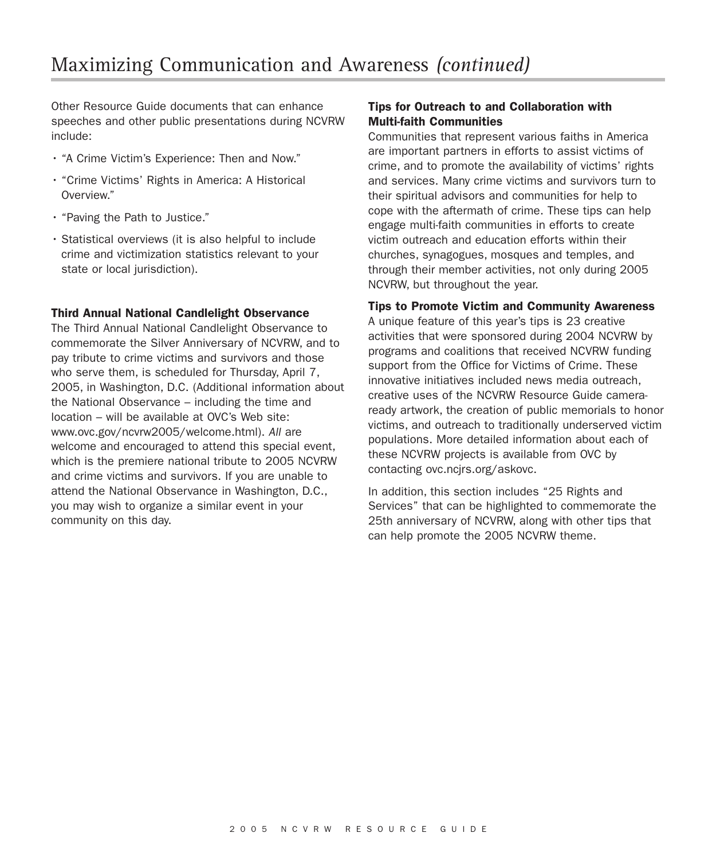Other Resource Guide documents that can enhance speeches and other public presentations during NCVRW include:

- "A Crime Victim's Experience: Then and Now."
- "Crime Victims' Rights in America: A Historical Overview."
- "Paving the Path to Justice."
- Statistical overviews (it is also helpful to include crime and victimization statistics relevant to your state or local jurisdiction).

### **Third Annual National Candlelight Observance**

The Third Annual National Candlelight Observance to commemorate the Silver Anniversary of NCVRW, and to pay tribute to crime victims and survivors and those who serve them, is scheduled for Thursday, April 7, 2005, in Washington, D.C. (Additional information about the National Observance – including the time and location – will be available at OVC's Web site: www.ovc.gov/ncvrw2005/welcome.html). *All* are welcome and encouraged to attend this special event, which is the premiere national tribute to 2005 NCVRW and crime victims and survivors. If you are unable to attend the National Observance in Washington, D.C., you may wish to organize a similar event in your community on this day.

# **Tips for Outreach to and Collaboration with Multi-faith Communities**

Communities that represent various faiths in America are important partners in efforts to assist victims of crime, and to promote the availability of victims' rights and services. Many crime victims and survivors turn to their spiritual advisors and communities for help to cope with the aftermath of crime. These tips can help engage multi-faith communities in efforts to create victim outreach and education efforts within their churches, synagogues, mosques and temples, and through their member activities, not only during 2005 NCVRW, but throughout the year.

### **Tips to Promote Victim and Community Awareness**

A unique feature of this year's tips is 23 creative activities that were sponsored during 2004 NCVRW by programs and coalitions that received NCVRW funding support from the Office for Victims of Crime. These innovative initiatives included news media outreach, creative uses of the NCVRW Resource Guide cameraready artwork, the creation of public memorials to honor victims, and outreach to traditionally underserved victim populations. More detailed information about each of these NCVRW projects is available from OVC by contacting ovc.ncjrs.org/askovc.

In addition, this section includes "25 Rights and Services" that can be highlighted to commemorate the 25th anniversary of NCVRW, along with other tips that can help promote the 2005 NCVRW theme.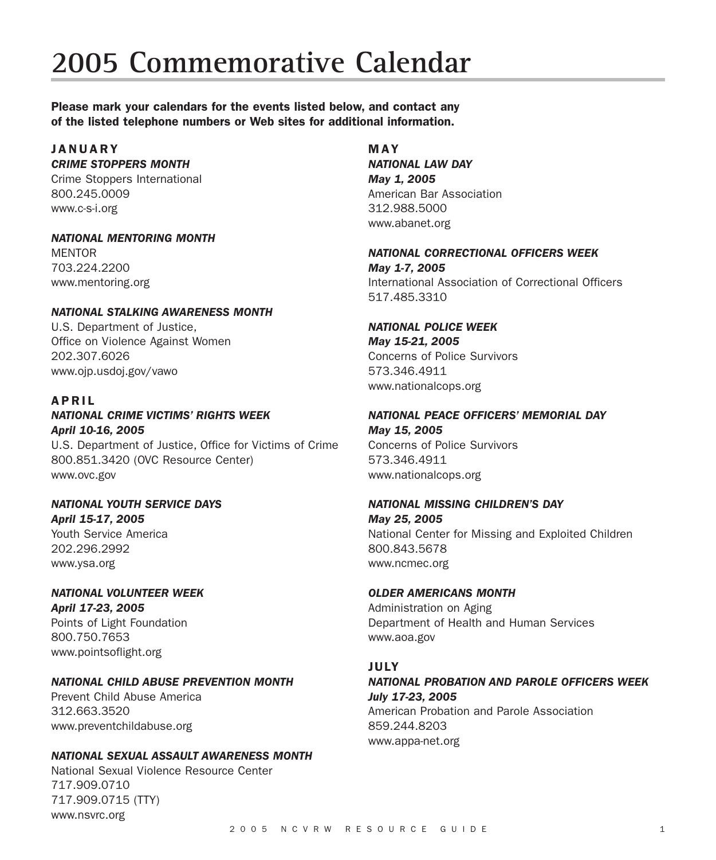# **2005 Commemorative Calendar**

**Please mark your calendars for the events listed below, and contact any of the listed telephone numbers or Web sites for additional information.**

#### **JANUARY** *CRIME STOPPERS MONTH*

Crime Stoppers International 800.245.0009 www.c-s-i.org

### *NATIONAL MENTORING MONTH*

**MENTOR** 703.224.2200 www.mentoring.org

### *NATIONAL STALKING AWARENESS MONTH*

U.S. Department of Justice, Office on Violence Against Women 202.307.6026 www.ojp.usdoj.gov/vawo

# **APRIL**

# *NATIONAL CRIME VICTIMS' RIGHTS WEEK April 10-16, 2005*

U.S. Department of Justice, Office for Victims of Crime 800.851.3420 (OVC Resource Center) www.ovc.gov

# *NATIONAL YOUTH SERVICE DAYS April 15-17, 2005*

Youth Service America 202.296.2992 www.ysa.org

### *NATIONAL VOLUNTEER WEEK April 17-23, 2005* Points of Light Foundation

800.750.7653 www.pointsoflight.org

# *NATIONAL CHILD ABUSE PREVENTION MONTH*

Prevent Child Abuse America 312.663.3520 www.preventchildabuse.org

### *NATIONAL SEXUAL ASSAULT AWARENESS MONTH*

National Sexual Violence Resource Center 717.909.0710 717.909.0715 (TTY) www.nsvrc.org

# **MAY**

*NATIONAL LAW DAY May 1, 2005* American Bar Association 312.988.5000 www.abanet.org

### *NATIONAL CORRECTIONAL OFFICERS WEEK May 1-7, 2005* International Association of Correctional Officers 517.485.3310

# *NATIONAL POLICE WEEK May 15-21, 2005*

Concerns of Police Survivors 573.346.4911 www.nationalcops.org

### *NATIONAL PEACE OFFICERS' MEMORIAL DAY May 15, 2005*

Concerns of Police Survivors 573.346.4911 www.nationalcops.org

# *NATIONAL MISSING CHILDREN'S DAY May 25, 2005*

National Center for Missing and Exploited Children 800.843.5678 www.ncmec.org

# *OLDER AMERICANS MONTH*

Administration on Aging Department of Health and Human Services www.aoa.gov

# **JULY**

*NATIONAL PROBATION AND PAROLE OFFICERS WEEK July 17-23, 2005* American Probation and Parole Association 859.244.8203 www.appa-net.org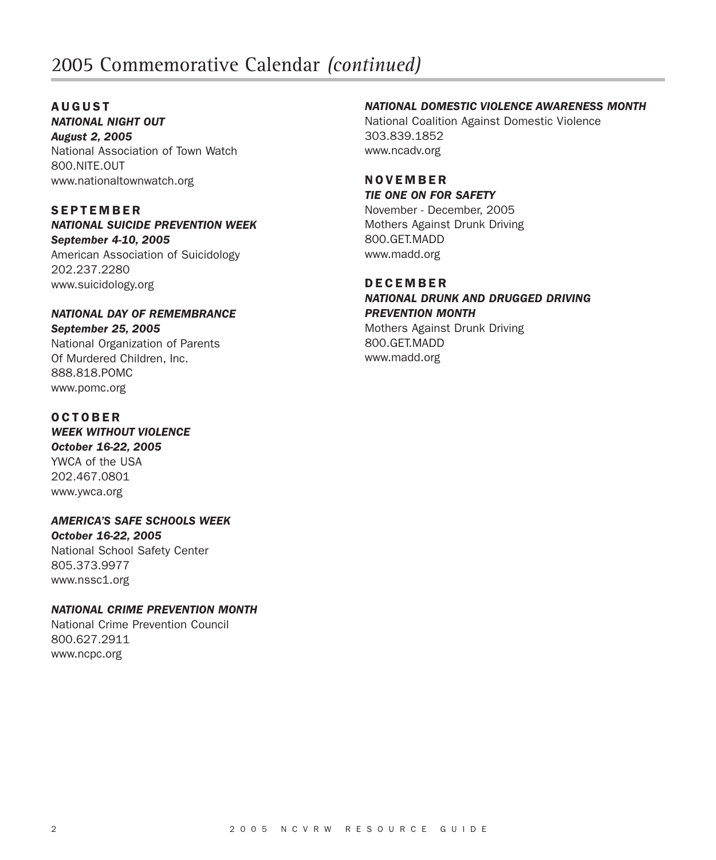# 2005 Commemorative Calendar *(continued)*

### **AUGUST** *NATIONAL NIGHT OUT*

*August 2, 2005* National Association of Town Watch 800.NITE.OUT www.nationaltownwatch.org

# **SEPTEMBER**

www.pomc.org

*NATIONAL SUICIDE PREVENTION WEEK September 4-10, 2005* American Association of Suicidology 202.237.2280 www.suicidology.org

# *NATIONAL DAY OF REMEMBRANCE September 25, 2005* National Organization of Parents Of Murdered Children, Inc. 888.818.POMC

**OCTOBER** *WEEK WITHOUT VIOLENCE October 16-22, 2005* YWCA of the USA 202.467.0801 www.ywca.org

*AMERICA'S SAFE SCHOOLS WEEK October 16-22, 2005* National School Safety Center 805.373.9977 www.nssc1.org

# *NATIONAL CRIME PREVENTION MONTH*

National Crime Prevention Council 800.627.2911 www.ncpc.org

# *NATIONAL DOMESTIC VIOLENCE AWARENESS MONTH*

National Coalition Against Domestic Violence 303.839.1852 www.ncadv.org

### **NOVEMBER** *TIE ONE ON FOR SAFETY*

November - December, 2005 Mothers Against Drunk Driving 800.GET.MADD www.madd.org

# **DECEMBER**

*NATIONAL DRUNK AND DRUGGED DRIVING PREVENTION MONTH* Mothers Against Drunk Driving 800.GET.MADD www.madd.org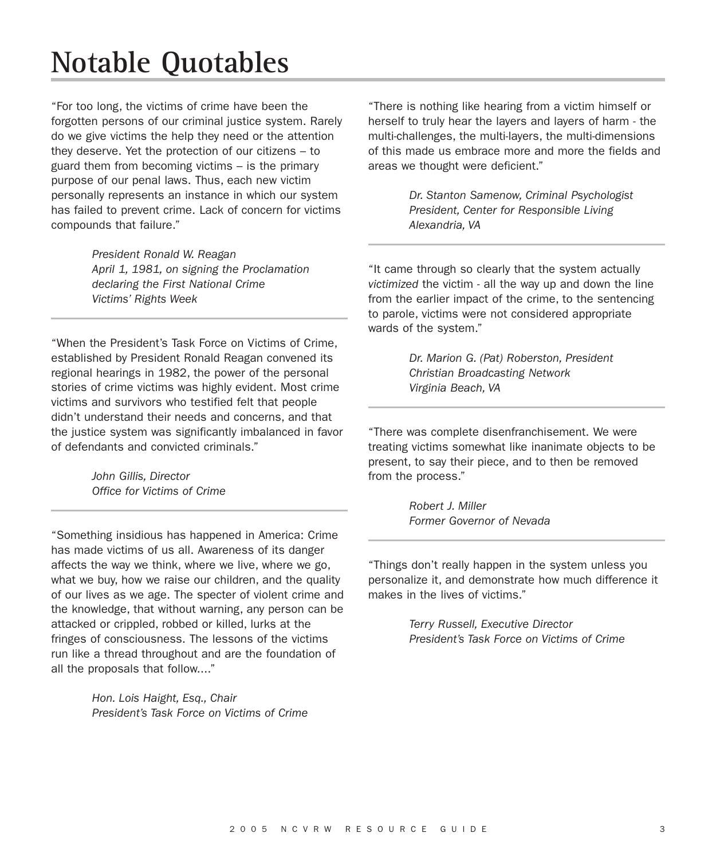# **Notable Quotables**

"For too long, the victims of crime have been the forgotten persons of our criminal justice system. Rarely do we give victims the help they need or the attention they deserve. Yet the protection of our citizens – to guard them from becoming victims – is the primary purpose of our penal laws. Thus, each new victim personally represents an instance in which our system has failed to prevent crime. Lack of concern for victims compounds that failure."

> *President Ronald W. Reagan April 1, 1981, on signing the Proclamation declaring the First National Crime Victims' Rights Week*

"When the President's Task Force on Victims of Crime, established by President Ronald Reagan convened its regional hearings in 1982, the power of the personal stories of crime victims was highly evident. Most crime victims and survivors who testified felt that people didn't understand their needs and concerns, and that the justice system was significantly imbalanced in favor of defendants and convicted criminals."

> *John Gillis, Director Office for Victims of Crime*

"Something insidious has happened in America: Crime has made victims of us all. Awareness of its danger affects the way we think, where we live, where we go, what we buy, how we raise our children, and the quality of our lives as we age. The specter of violent crime and the knowledge, that without warning, any person can be attacked or crippled, robbed or killed, lurks at the fringes of consciousness. The lessons of the victims run like a thread throughout and are the foundation of all the proposals that follow...."

> *Hon. Lois Haight, Esq., Chair President's Task Force on Victims of Crime*

"There is nothing like hearing from a victim himself or herself to truly hear the layers and layers of harm - the multi-challenges, the multi-layers, the multi-dimensions of this made us embrace more and more the fields and areas we thought were deficient."

> *Dr. Stanton Samenow, Criminal Psychologist President, Center for Responsible Living Alexandria, VA*

"It came through so clearly that the system actually *victimized* the victim - all the way up and down the line from the earlier impact of the crime, to the sentencing to parole, victims were not considered appropriate wards of the system."

> *Dr. Marion G. (Pat) Roberston, President Christian Broadcasting Network Virginia Beach, VA*

"There was complete disenfranchisement. We were treating victims somewhat like inanimate objects to be present, to say their piece, and to then be removed from the process."

> *Robert J. Miller Former Governor of Nevada*

"Things don't really happen in the system unless you personalize it, and demonstrate how much difference it makes in the lives of victims."

> *Terry Russell, Executive Director President's Task Force on Victims of Crime*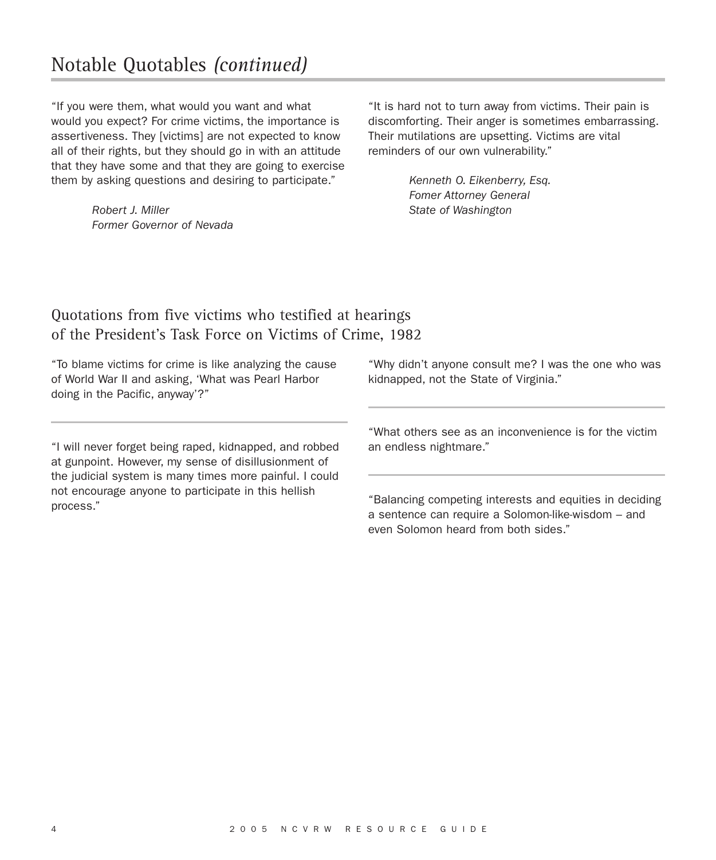"If you were them, what would you want and what would you expect? For crime victims, the importance is assertiveness. They [victims] are not expected to know all of their rights, but they should go in with an attitude that they have some and that they are going to exercise them by asking questions and desiring to participate."

> *Robert J. Miller Former Governor of Nevada*

"It is hard not to turn away from victims. Their pain is discomforting. Their anger is sometimes embarrassing. Their mutilations are upsetting. Victims are vital reminders of our own vulnerability."

> *Kenneth O. Eikenberry, Esq. Fomer Attorney General State of Washington*

# Quotations from five victims who testified at hearings of the President's Task Force on Victims of Crime, 1982

"To blame victims for crime is like analyzing the cause of World War II and asking, 'What was Pearl Harbor doing in the Pacific, anyway'?"

"I will never forget being raped, kidnapped, and robbed at gunpoint. However, my sense of disillusionment of the judicial system is many times more painful. I could not encourage anyone to participate in this hellish process."

"Why didn't anyone consult me? I was the one who was kidnapped, not the State of Virginia."

"What others see as an inconvenience is for the victim an endless nightmare."

"Balancing competing interests and equities in deciding a sentence can require a Solomon-like-wisdom – and even Solomon heard from both sides."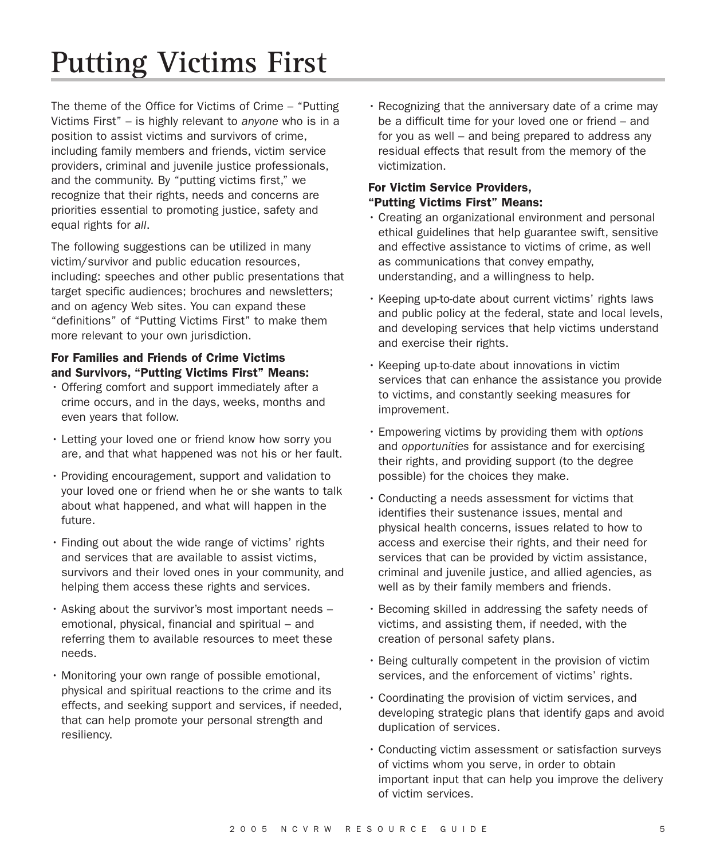# **Putting Victims First**

The theme of the Office for Victims of Crime – "Putting Victims First" – is highly relevant to *anyone* who is in a position to assist victims and survivors of crime, including family members and friends, victim service providers, criminal and juvenile justice professionals, and the community. By "putting victims first," we recognize that their rights, needs and concerns are priorities essential to promoting justice, safety and equal rights for *all*.

The following suggestions can be utilized in many victim/survivor and public education resources, including: speeches and other public presentations that target specific audiences; brochures and newsletters; and on agency Web sites. You can expand these "definitions" of "Putting Victims First" to make them more relevant to your own jurisdiction.

# **For Families and Friends of Crime Victims and Survivors, "Putting Victims First" Means:**

- Offering comfort and support immediately after a crime occurs, and in the days, weeks, months and even years that follow.
- Letting your loved one or friend know how sorry you are, and that what happened was not his or her fault.
- Providing encouragement, support and validation to your loved one or friend when he or she wants to talk about what happened, and what will happen in the future.
- Finding out about the wide range of victims' rights and services that are available to assist victims, survivors and their loved ones in your community, and helping them access these rights and services.
- Asking about the survivor's most important needs emotional, physical, financial and spiritual – and referring them to available resources to meet these needs.
- Monitoring your own range of possible emotional, physical and spiritual reactions to the crime and its effects, and seeking support and services, if needed, that can help promote your personal strength and resiliency.

• Recognizing that the anniversary date of a crime may be a difficult time for your loved one or friend – and for you as well – and being prepared to address any residual effects that result from the memory of the victimization.

# **For Victim Service Providers, "Putting Victims First" Means:**

- Creating an organizational environment and personal ethical guidelines that help guarantee swift, sensitive and effective assistance to victims of crime, as well as communications that convey empathy, understanding, and a willingness to help.
- Keeping up-to-date about current victims' rights laws and public policy at the federal, state and local levels, and developing services that help victims understand and exercise their rights.
- Keeping up-to-date about innovations in victim services that can enhance the assistance you provide to victims, and constantly seeking measures for improvement.
- Empowering victims by providing them with *options* and *opportunities* for assistance and for exercising their rights, and providing support (to the degree possible) for the choices they make.
- Conducting a needs assessment for victims that identifies their sustenance issues, mental and physical health concerns, issues related to how to access and exercise their rights, and their need for services that can be provided by victim assistance, criminal and juvenile justice, and allied agencies, as well as by their family members and friends.
- Becoming skilled in addressing the safety needs of victims, and assisting them, if needed, with the creation of personal safety plans.
- Being culturally competent in the provision of victim services, and the enforcement of victims' rights.
- Coordinating the provision of victim services, and developing strategic plans that identify gaps and avoid duplication of services.
- Conducting victim assessment or satisfaction surveys of victims whom you serve, in order to obtain important input that can help you improve the delivery of victim services.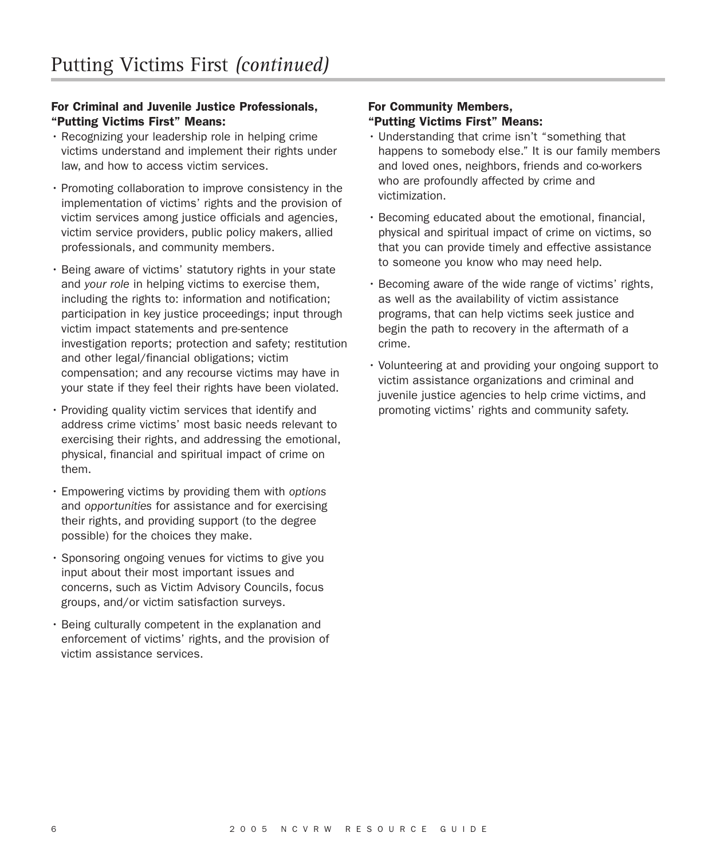# **For Criminal and Juvenile Justice Professionals, "Putting Victims First" Means:**

- Recognizing your leadership role in helping crime victims understand and implement their rights under law, and how to access victim services.
- Promoting collaboration to improve consistency in the implementation of victims' rights and the provision of victim services among justice officials and agencies, victim service providers, public policy makers, allied professionals, and community members.
- Being aware of victims' statutory rights in your state and *your role* in helping victims to exercise them, including the rights to: information and notification; participation in key justice proceedings; input through victim impact statements and pre-sentence investigation reports; protection and safety; restitution and other legal/financial obligations; victim compensation; and any recourse victims may have in your state if they feel their rights have been violated.
- Providing quality victim services that identify and address crime victims' most basic needs relevant to exercising their rights, and addressing the emotional, physical, financial and spiritual impact of crime on them.
- Empowering victims by providing them with *options* and *opportunities* for assistance and for exercising their rights, and providing support (to the degree possible) for the choices they make.
- Sponsoring ongoing venues for victims to give you input about their most important issues and concerns, such as Victim Advisory Councils, focus groups, and/or victim satisfaction surveys.
- Being culturally competent in the explanation and enforcement of victims' rights, and the provision of victim assistance services.

## **For Community Members, "Putting Victims First" Means:**

- Understanding that crime isn't "something that happens to somebody else." It is our family members and loved ones, neighbors, friends and co-workers who are profoundly affected by crime and victimization.
- Becoming educated about the emotional, financial, physical and spiritual impact of crime on victims, so that you can provide timely and effective assistance to someone you know who may need help.
- Becoming aware of the wide range of victims' rights, as well as the availability of victim assistance programs, that can help victims seek justice and begin the path to recovery in the aftermath of a crime.
- Volunteering at and providing your ongoing support to victim assistance organizations and criminal and juvenile justice agencies to help crime victims, and promoting victims' rights and community safety.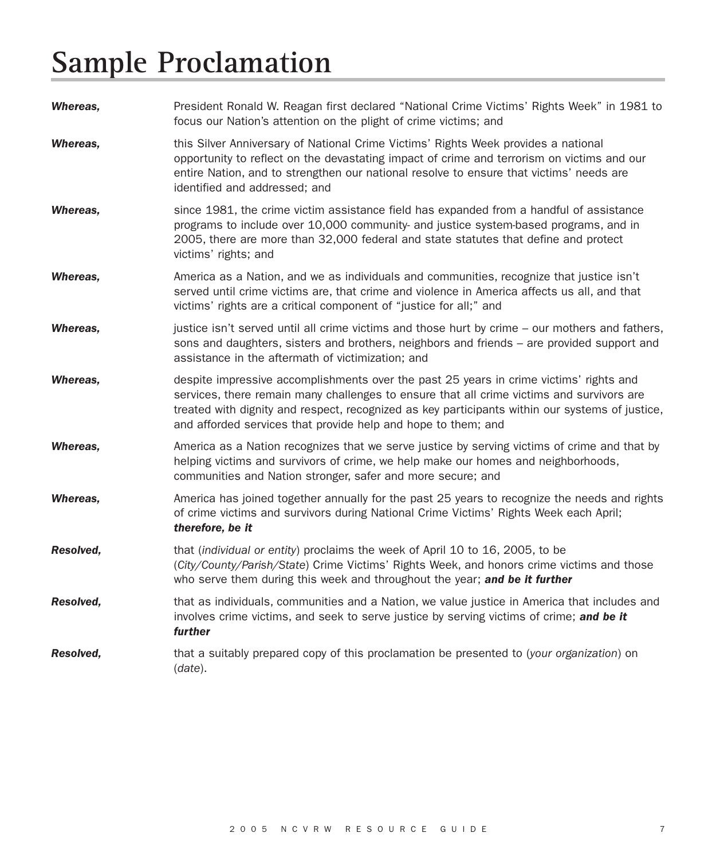# **Sample Proclamation**

| Whereas,  | President Ronald W. Reagan first declared "National Crime Victims' Rights Week" in 1981 to<br>focus our Nation's attention on the plight of crime victims; and                                                                                                                                                                                          |
|-----------|---------------------------------------------------------------------------------------------------------------------------------------------------------------------------------------------------------------------------------------------------------------------------------------------------------------------------------------------------------|
| Whereas,  | this Silver Anniversary of National Crime Victims' Rights Week provides a national<br>opportunity to reflect on the devastating impact of crime and terrorism on victims and our<br>entire Nation, and to strengthen our national resolve to ensure that victims' needs are<br>identified and addressed; and                                            |
| Whereas.  | since 1981, the crime victim assistance field has expanded from a handful of assistance<br>programs to include over 10,000 community- and justice system-based programs, and in<br>2005, there are more than 32,000 federal and state statutes that define and protect<br>victims' rights; and                                                          |
| Whereas.  | America as a Nation, and we as individuals and communities, recognize that justice isn't<br>served until crime victims are, that crime and violence in America affects us all, and that<br>victims' rights are a critical component of "justice for all;" and                                                                                           |
| Whereas,  | justice isn't served until all crime victims and those hurt by crime - our mothers and fathers,<br>sons and daughters, sisters and brothers, neighbors and friends – are provided support and<br>assistance in the aftermath of victimization; and                                                                                                      |
| Whereas,  | despite impressive accomplishments over the past 25 years in crime victims' rights and<br>services, there remain many challenges to ensure that all crime victims and survivors are<br>treated with dignity and respect, recognized as key participants within our systems of justice,<br>and afforded services that provide help and hope to them; and |
| Whereas,  | America as a Nation recognizes that we serve justice by serving victims of crime and that by<br>helping victims and survivors of crime, we help make our homes and neighborhoods,<br>communities and Nation stronger, safer and more secure; and                                                                                                        |
| Whereas,  | America has joined together annually for the past 25 years to recognize the needs and rights<br>of crime victims and survivors during National Crime Victims' Rights Week each April;<br>therefore, be it                                                                                                                                               |
| Resolved, | that <i>(individual or entity)</i> proclaims the week of April 10 to 16, 2005, to be<br>(City/County/Parish/State) Crime Victims' Rights Week, and honors crime victims and those<br>who serve them during this week and throughout the year; and be it further                                                                                         |
| Resolved, | that as individuals, communities and a Nation, we value justice in America that includes and<br>involves crime victims, and seek to serve justice by serving victims of crime; and be it<br>further                                                                                                                                                     |
| Resolved. | that a suitably prepared copy of this proclamation be presented to (your organization) on<br>(date).                                                                                                                                                                                                                                                    |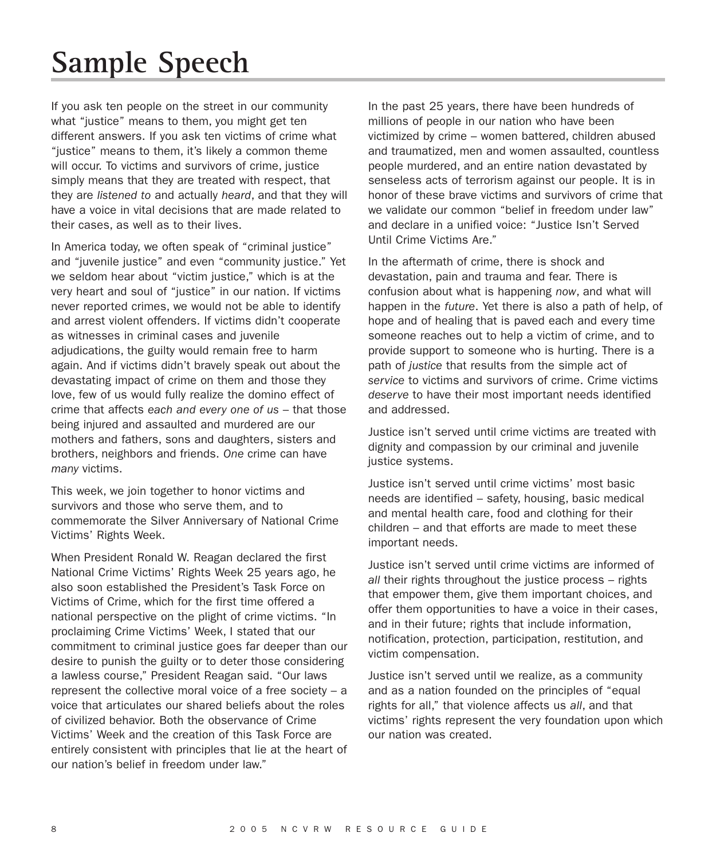# **Sample Speech**

If you ask ten people on the street in our community what "justice" means to them, you might get ten different answers. If you ask ten victims of crime what "justice" means to them, it's likely a common theme will occur. To victims and survivors of crime, justice simply means that they are treated with respect, that they are *listened to* and actually *heard*, and that they will have a voice in vital decisions that are made related to their cases, as well as to their lives.

In America today, we often speak of "criminal justice" and "juvenile justice" and even "community justice." Yet we seldom hear about "victim justice," which is at the very heart and soul of "justice" in our nation. If victims never reported crimes, we would not be able to identify and arrest violent offenders. If victims didn't cooperate as witnesses in criminal cases and juvenile adjudications, the guilty would remain free to harm again. And if victims didn't bravely speak out about the devastating impact of crime on them and those they love, few of us would fully realize the domino effect of crime that affects *each and every one of us* – that those being injured and assaulted and murdered are our mothers and fathers, sons and daughters, sisters and brothers, neighbors and friends. *One* crime can have *many* victims.

This week, we join together to honor victims and survivors and those who serve them, and to commemorate the Silver Anniversary of National Crime Victims' Rights Week.

When President Ronald W. Reagan declared the first National Crime Victims' Rights Week 25 years ago, he also soon established the President's Task Force on Victims of Crime, which for the first time offered a national perspective on the plight of crime victims. "In proclaiming Crime Victims' Week, I stated that our commitment to criminal justice goes far deeper than our desire to punish the guilty or to deter those considering a lawless course," President Reagan said. "Our laws represent the collective moral voice of a free society – a voice that articulates our shared beliefs about the roles of civilized behavior. Both the observance of Crime Victims' Week and the creation of this Task Force are entirely consistent with principles that lie at the heart of our nation's belief in freedom under law."

In the past 25 years, there have been hundreds of millions of people in our nation who have been victimized by crime – women battered, children abused and traumatized, men and women assaulted, countless people murdered, and an entire nation devastated by senseless acts of terrorism against our people. It is in honor of these brave victims and survivors of crime that we validate our common "belief in freedom under law" and declare in a unified voice: "Justice Isn't Served Until Crime Victims Are."

In the aftermath of crime, there is shock and devastation, pain and trauma and fear. There is confusion about what is happening *now*, and what will happen in the *future*. Yet there is also a path of help, of hope and of healing that is paved each and every time someone reaches out to help a victim of crime, and to provide support to someone who is hurting. There is a path of *justice* that results from the simple act of *service* to victims and survivors of crime. Crime victims *deserve* to have their most important needs identified and addressed.

Justice isn't served until crime victims are treated with dignity and compassion by our criminal and juvenile justice systems.

Justice isn't served until crime victims' most basic needs are identified – safety, housing, basic medical and mental health care, food and clothing for their children – and that efforts are made to meet these important needs.

Justice isn't served until crime victims are informed of *all* their rights throughout the justice process – rights that empower them, give them important choices, and offer them opportunities to have a voice in their cases, and in their future; rights that include information, notification, protection, participation, restitution, and victim compensation.

Justice isn't served until we realize, as a community and as a nation founded on the principles of "equal rights for all," that violence affects us *all*, and that victims' rights represent the very foundation upon which our nation was created.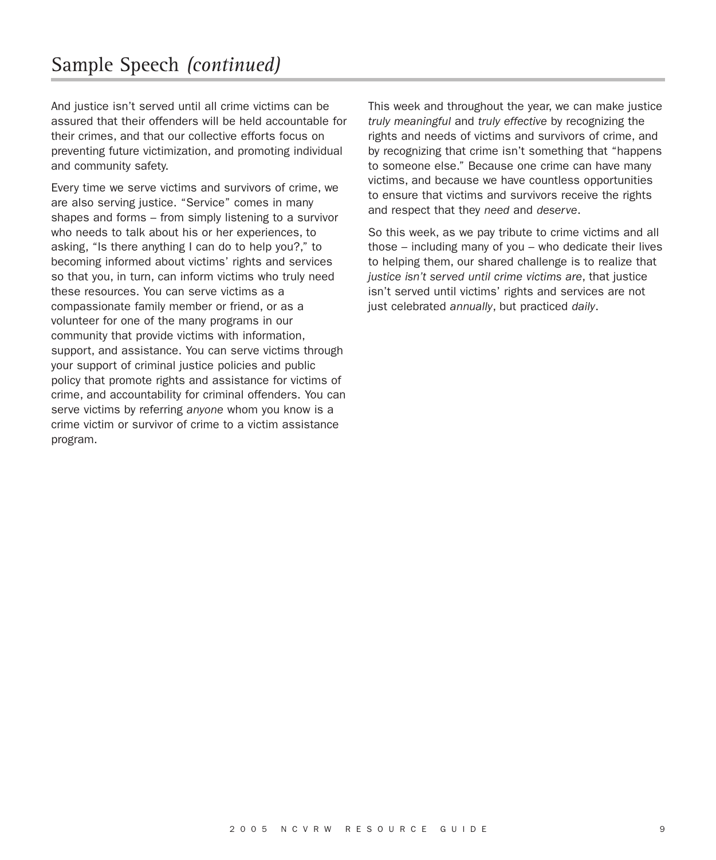And justice isn't served until all crime victims can be assured that their offenders will be held accountable for their crimes, and that our collective efforts focus on preventing future victimization, and promoting individual and community safety.

Every time we serve victims and survivors of crime, we are also serving justice. "Service" comes in many shapes and forms – from simply listening to a survivor who needs to talk about his or her experiences, to asking, "Is there anything I can do to help you?," to becoming informed about victims' rights and services so that you, in turn, can inform victims who truly need these resources. You can serve victims as a compassionate family member or friend, or as a volunteer for one of the many programs in our community that provide victims with information, support, and assistance. You can serve victims through your support of criminal justice policies and public policy that promote rights and assistance for victims of crime, and accountability for criminal offenders. You can serve victims by referring *anyone* whom you know is a crime victim or survivor of crime to a victim assistance program.

This week and throughout the year, we can make justice *truly meaningful* and *truly effective* by recognizing the rights and needs of victims and survivors of crime, and by recognizing that crime isn't something that "happens to someone else." Because one crime can have many victims, and because we have countless opportunities to ensure that victims and survivors receive the rights and respect that they *need* and *deserve*.

So this week, as we pay tribute to crime victims and all those – including many of you – who dedicate their lives to helping them, our shared challenge is to realize that *justice isn't served until crime victims are*, that justice isn't served until victims' rights and services are not just celebrated *annually*, but practiced *daily*.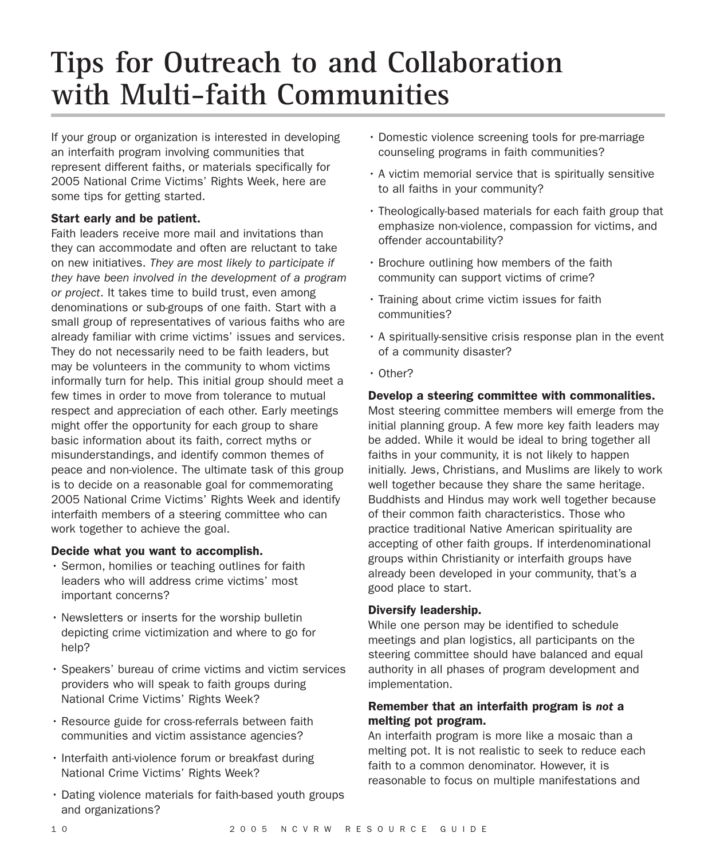# **Tips for Outreach to and Collaboration with Multi-faith Communities**

If your group or organization is interested in developing an interfaith program involving communities that represent different faiths, or materials specifically for 2005 National Crime Victims' Rights Week, here are some tips for getting started.

# **Start early and be patient.**

Faith leaders receive more mail and invitations than they can accommodate and often are reluctant to take on new initiatives. *They are most likely to participate if they have been involved in the development of a program or project*. It takes time to build trust, even among denominations or sub-groups of one faith. Start with a small group of representatives of various faiths who are already familiar with crime victims' issues and services. They do not necessarily need to be faith leaders, but may be volunteers in the community to whom victims informally turn for help. This initial group should meet a few times in order to move from tolerance to mutual respect and appreciation of each other. Early meetings might offer the opportunity for each group to share basic information about its faith, correct myths or misunderstandings, and identify common themes of peace and non-violence. The ultimate task of this group is to decide on a reasonable goal for commemorating 2005 National Crime Victims' Rights Week and identify interfaith members of a steering committee who can work together to achieve the goal.

### **Decide what you want to accomplish.**

- Sermon, homilies or teaching outlines for faith leaders who will address crime victims' most important concerns?
- Newsletters or inserts for the worship bulletin depicting crime victimization and where to go for help?
- Speakers' bureau of crime victims and victim services providers who will speak to faith groups during National Crime Victims' Rights Week?
- Resource guide for cross-referrals between faith communities and victim assistance agencies?
- Interfaith anti-violence forum or breakfast during National Crime Victims' Rights Week?
- Dating violence materials for faith-based youth groups and organizations?
- Domestic violence screening tools for pre-marriage counseling programs in faith communities?
- A victim memorial service that is spiritually sensitive to all faiths in your community?
- Theologically-based materials for each faith group that emphasize non-violence, compassion for victims, and offender accountability?
- Brochure outlining how members of the faith community can support victims of crime?
- Training about crime victim issues for faith communities?
- A spiritually-sensitive crisis response plan in the event of a community disaster?
- Other?

# **Develop a steering committee with commonalities.**

Most steering committee members will emerge from the initial planning group. A few more key faith leaders may be added. While it would be ideal to bring together all faiths in your community, it is not likely to happen initially. Jews, Christians, and Muslims are likely to work well together because they share the same heritage. Buddhists and Hindus may work well together because of their common faith characteristics. Those who practice traditional Native American spirituality are accepting of other faith groups. If interdenominational groups within Christianity or interfaith groups have already been developed in your community, that's a good place to start.

### **Diversify leadership.**

While one person may be identified to schedule meetings and plan logistics, all participants on the steering committee should have balanced and equal authority in all phases of program development and implementation.

### **Remember that an interfaith program is** *not* **a melting pot program.**

An interfaith program is more like a mosaic than a melting pot. It is not realistic to seek to reduce each faith to a common denominator. However, it is reasonable to focus on multiple manifestations and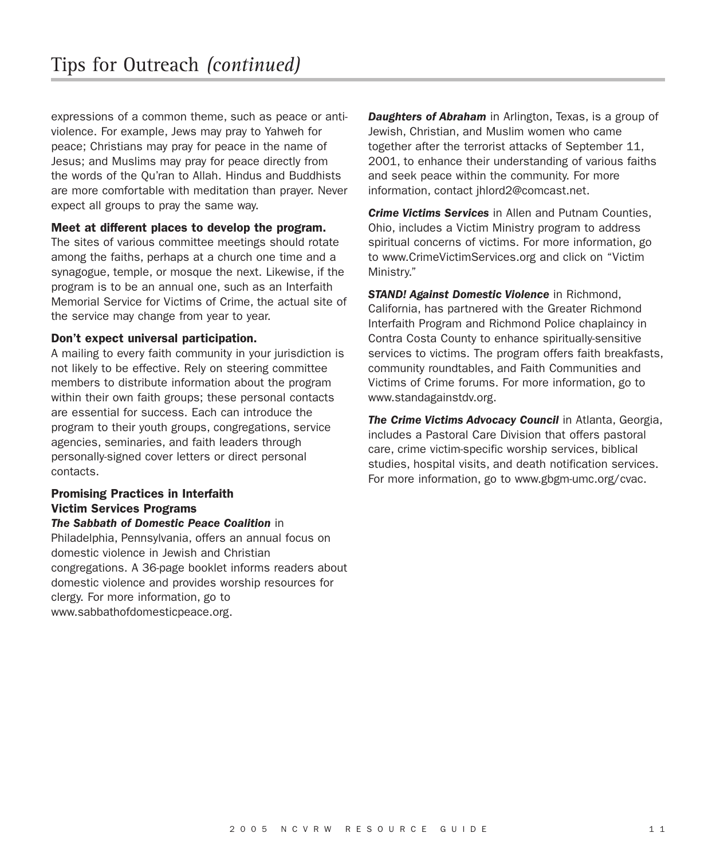expressions of a common theme, such as peace or antiviolence. For example, Jews may pray to Yahweh for peace; Christians may pray for peace in the name of Jesus; and Muslims may pray for peace directly from the words of the Qu'ran to Allah. Hindus and Buddhists are more comfortable with meditation than prayer. Never expect all groups to pray the same way.

### **Meet at different places to develop the program.**

The sites of various committee meetings should rotate among the faiths, perhaps at a church one time and a synagogue, temple, or mosque the next. Likewise, if the program is to be an annual one, such as an Interfaith Memorial Service for Victims of Crime, the actual site of the service may change from year to year.

#### **Don't expect universal participation.**

A mailing to every faith community in your jurisdiction is not likely to be effective. Rely on steering committee members to distribute information about the program within their own faith groups; these personal contacts are essential for success. Each can introduce the program to their youth groups, congregations, service agencies, seminaries, and faith leaders through personally-signed cover letters or direct personal contacts.

# **Promising Practices in Interfaith Victim Services Programs**

### *The Sabbath of Domestic Peace Coalition* in

Philadelphia, Pennsylvania, offers an annual focus on domestic violence in Jewish and Christian congregations. A 36-page booklet informs readers about domestic violence and provides worship resources for clergy. For more information, go to www.sabbathofdomesticpeace.org.

*Daughters of Abraham* in Arlington, Texas, is a group of Jewish, Christian, and Muslim women who came together after the terrorist attacks of September 11, 2001, to enhance their understanding of various faiths and seek peace within the community. For more information, contact jhlord2@comcast.net.

*Crime Victims Services* in Allen and Putnam Counties, Ohio, includes a Victim Ministry program to address spiritual concerns of victims. For more information, go to www.CrimeVictimServices.org and click on "Victim Ministry."

*STAND! Against Domestic Violence* in Richmond, California, has partnered with the Greater Richmond Interfaith Program and Richmond Police chaplaincy in Contra Costa County to enhance spiritually-sensitive services to victims. The program offers faith breakfasts, community roundtables, and Faith Communities and Victims of Crime forums. For more information, go to www.standagainstdv.org.

*The Crime Victims Advocacy Council* in Atlanta, Georgia, includes a Pastoral Care Division that offers pastoral care, crime victim-specific worship services, biblical studies, hospital visits, and death notification services. For more information, go to www.gbgm-umc.org/cvac.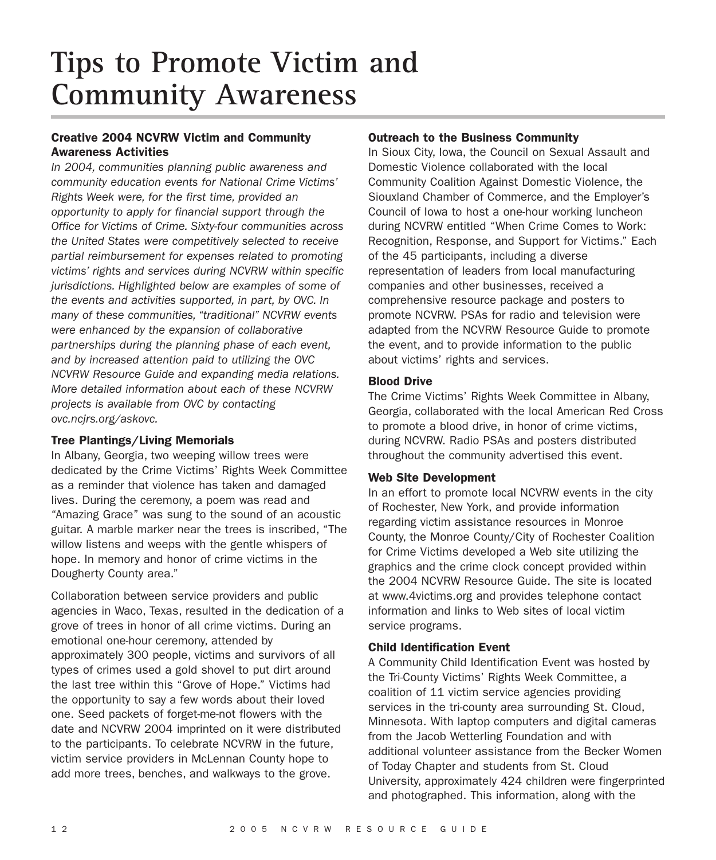# **Tips to Promote Victim and Community Awareness**

# **Creative 2004 NCVRW Victim and Community Awareness Activities**

*In 2004, communities planning public awareness and community education events for National Crime Victims' Rights Week were, for the first time, provided an opportunity to apply for financial support through the Office for Victims of Crime. Sixty-four communities across the United States were competitively selected to receive partial reimbursement for expenses related to promoting victims' rights and services during NCVRW within specific jurisdictions. Highlighted below are examples of some of the events and activities supported, in part, by OVC. In many of these communities, "traditional" NCVRW events were enhanced by the expansion of collaborative partnerships during the planning phase of each event, and by increased attention paid to utilizing the OVC NCVRW Resource Guide and expanding media relations. More detailed information about each of these NCVRW projects is available from OVC by contacting ovc.ncjrs.org/askovc.*

### **Tree Plantings/Living Memorials**

In Albany, Georgia, two weeping willow trees were dedicated by the Crime Victims' Rights Week Committee as a reminder that violence has taken and damaged lives. During the ceremony, a poem was read and "Amazing Grace" was sung to the sound of an acoustic guitar. A marble marker near the trees is inscribed, "The willow listens and weeps with the gentle whispers of hope. In memory and honor of crime victims in the Dougherty County area."

Collaboration between service providers and public agencies in Waco, Texas, resulted in the dedication of a grove of trees in honor of all crime victims. During an emotional one-hour ceremony, attended by approximately 300 people, victims and survivors of all types of crimes used a gold shovel to put dirt around the last tree within this "Grove of Hope." Victims had the opportunity to say a few words about their loved one. Seed packets of forget-me-not flowers with the date and NCVRW 2004 imprinted on it were distributed to the participants. To celebrate NCVRW in the future, victim service providers in McLennan County hope to add more trees, benches, and walkways to the grove.

# **Outreach to the Business Community**

In Sioux City, Iowa, the Council on Sexual Assault and Domestic Violence collaborated with the local Community Coalition Against Domestic Violence, the Siouxland Chamber of Commerce, and the Employer's Council of Iowa to host a one-hour working luncheon during NCVRW entitled "When Crime Comes to Work: Recognition, Response, and Support for Victims." Each of the 45 participants, including a diverse representation of leaders from local manufacturing companies and other businesses, received a comprehensive resource package and posters to promote NCVRW. PSAs for radio and television were adapted from the NCVRW Resource Guide to promote the event, and to provide information to the public about victims' rights and services.

# **Blood Drive**

The Crime Victims' Rights Week Committee in Albany, Georgia, collaborated with the local American Red Cross to promote a blood drive, in honor of crime victims, during NCVRW. Radio PSAs and posters distributed throughout the community advertised this event.

### **Web Site Development**

In an effort to promote local NCVRW events in the city of Rochester, New York, and provide information regarding victim assistance resources in Monroe County, the Monroe County/City of Rochester Coalition for Crime Victims developed a Web site utilizing the graphics and the crime clock concept provided within the 2004 NCVRW Resource Guide. The site is located at www.4victims.org and provides telephone contact information and links to Web sites of local victim service programs.

# **Child Identification Event**

A Community Child Identification Event was hosted by the Tri-County Victims' Rights Week Committee, a coalition of 11 victim service agencies providing services in the tri-county area surrounding St. Cloud, Minnesota. With laptop computers and digital cameras from the Jacob Wetterling Foundation and with additional volunteer assistance from the Becker Women of Today Chapter and students from St. Cloud University, approximately 424 children were fingerprinted and photographed. This information, along with the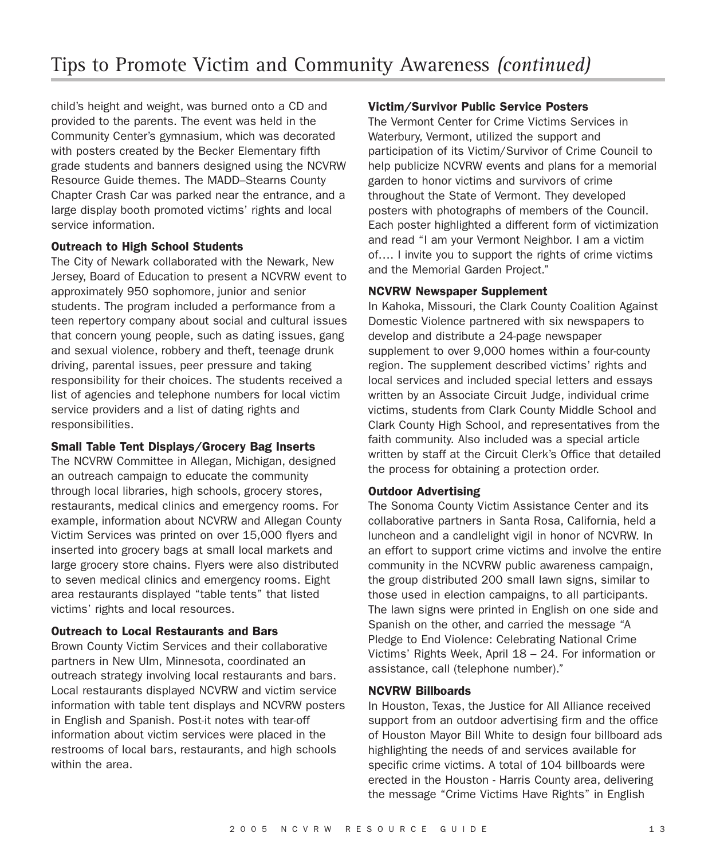child's height and weight, was burned onto a CD and provided to the parents. The event was held in the Community Center's gymnasium, which was decorated with posters created by the Becker Elementary fifth grade students and banners designed using the NCVRW Resource Guide themes. The MADD–Stearns County Chapter Crash Car was parked near the entrance, and a large display booth promoted victims' rights and local service information.

### **Outreach to High School Students**

The City of Newark collaborated with the Newark, New Jersey, Board of Education to present a NCVRW event to approximately 950 sophomore, junior and senior students. The program included a performance from a teen repertory company about social and cultural issues that concern young people, such as dating issues, gang and sexual violence, robbery and theft, teenage drunk driving, parental issues, peer pressure and taking responsibility for their choices. The students received a list of agencies and telephone numbers for local victim service providers and a list of dating rights and responsibilities.

### **Small Table Tent Displays/Grocery Bag Inserts**

The NCVRW Committee in Allegan, Michigan, designed an outreach campaign to educate the community through local libraries, high schools, grocery stores, restaurants, medical clinics and emergency rooms. For example, information about NCVRW and Allegan County Victim Services was printed on over 15,000 flyers and inserted into grocery bags at small local markets and large grocery store chains. Flyers were also distributed to seven medical clinics and emergency rooms. Eight area restaurants displayed "table tents" that listed victims' rights and local resources.

### **Outreach to Local Restaurants and Bars**

Brown County Victim Services and their collaborative partners in New Ulm, Minnesota, coordinated an outreach strategy involving local restaurants and bars. Local restaurants displayed NCVRW and victim service information with table tent displays and NCVRW posters in English and Spanish. Post-it notes with tear-off information about victim services were placed in the restrooms of local bars, restaurants, and high schools within the area.

### **Victim/Survivor Public Service Posters**

The Vermont Center for Crime Victims Services in Waterbury, Vermont, utilized the support and participation of its Victim/Survivor of Crime Council to help publicize NCVRW events and plans for a memorial garden to honor victims and survivors of crime throughout the State of Vermont. They developed posters with photographs of members of the Council. Each poster highlighted a different form of victimization and read "I am your Vermont Neighbor. I am a victim of…. I invite you to support the rights of crime victims and the Memorial Garden Project."

### **NCVRW Newspaper Supplement**

In Kahoka, Missouri, the Clark County Coalition Against Domestic Violence partnered with six newspapers to develop and distribute a 24-page newspaper supplement to over 9,000 homes within a four-county region. The supplement described victims' rights and local services and included special letters and essays written by an Associate Circuit Judge, individual crime victims, students from Clark County Middle School and Clark County High School, and representatives from the faith community. Also included was a special article written by staff at the Circuit Clerk's Office that detailed the process for obtaining a protection order.

### **Outdoor Advertising**

The Sonoma County Victim Assistance Center and its collaborative partners in Santa Rosa, California, held a luncheon and a candlelight vigil in honor of NCVRW. In an effort to support crime victims and involve the entire community in the NCVRW public awareness campaign, the group distributed 200 small lawn signs, similar to those used in election campaigns, to all participants. The lawn signs were printed in English on one side and Spanish on the other, and carried the message "A Pledge to End Violence: Celebrating National Crime Victims' Rights Week, April 18 – 24. For information or assistance, call (telephone number)."

### **NCVRW Billboards**

In Houston, Texas, the Justice for All Alliance received support from an outdoor advertising firm and the office of Houston Mayor Bill White to design four billboard ads highlighting the needs of and services available for specific crime victims. A total of 104 billboards were erected in the Houston - Harris County area, delivering the message "Crime Victims Have Rights" in English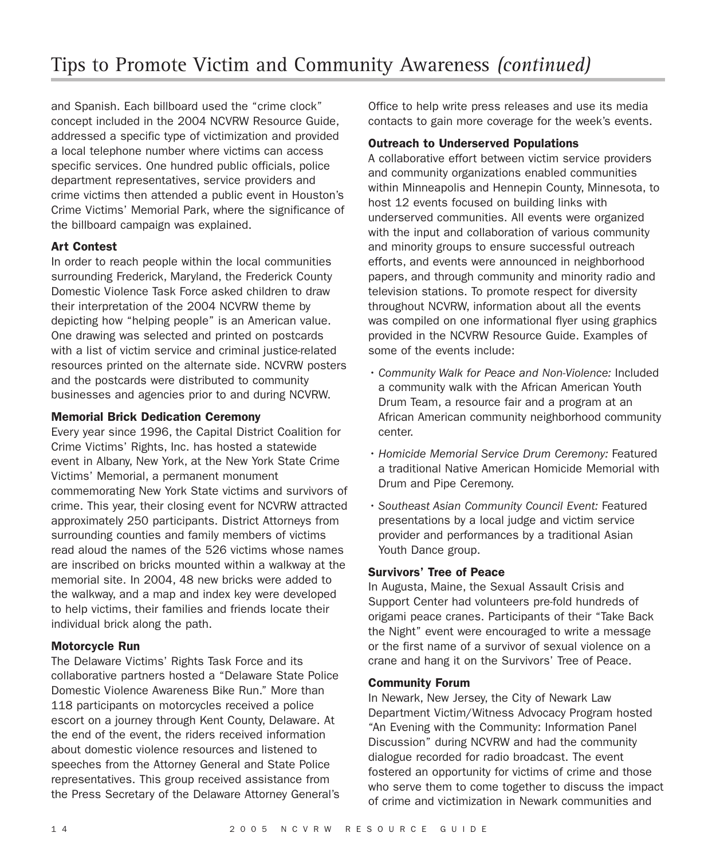and Spanish. Each billboard used the "crime clock" concept included in the 2004 NCVRW Resource Guide, addressed a specific type of victimization and provided a local telephone number where victims can access specific services. One hundred public officials, police department representatives, service providers and crime victims then attended a public event in Houston's Crime Victims' Memorial Park, where the significance of the billboard campaign was explained.

# **Art Contest**

In order to reach people within the local communities surrounding Frederick, Maryland, the Frederick County Domestic Violence Task Force asked children to draw their interpretation of the 2004 NCVRW theme by depicting how "helping people" is an American value. One drawing was selected and printed on postcards with a list of victim service and criminal justice-related resources printed on the alternate side. NCVRW posters and the postcards were distributed to community businesses and agencies prior to and during NCVRW.

### **Memorial Brick Dedication Ceremony**

Every year since 1996, the Capital District Coalition for Crime Victims' Rights, Inc. has hosted a statewide event in Albany, New York, at the New York State Crime Victims' Memorial, a permanent monument commemorating New York State victims and survivors of crime. This year, their closing event for NCVRW attracted approximately 250 participants. District Attorneys from surrounding counties and family members of victims read aloud the names of the 526 victims whose names are inscribed on bricks mounted within a walkway at the memorial site. In 2004, 48 new bricks were added to the walkway, and a map and index key were developed to help victims, their families and friends locate their individual brick along the path.

### **Motorcycle Run**

The Delaware Victims' Rights Task Force and its collaborative partners hosted a "Delaware State Police Domestic Violence Awareness Bike Run." More than 118 participants on motorcycles received a police escort on a journey through Kent County, Delaware. At the end of the event, the riders received information about domestic violence resources and listened to speeches from the Attorney General and State Police representatives. This group received assistance from the Press Secretary of the Delaware Attorney General's Office to help write press releases and use its media contacts to gain more coverage for the week's events.

## **Outreach to Underserved Populations**

A collaborative effort between victim service providers and community organizations enabled communities within Minneapolis and Hennepin County, Minnesota, to host 12 events focused on building links with underserved communities. All events were organized with the input and collaboration of various community and minority groups to ensure successful outreach efforts, and events were announced in neighborhood papers, and through community and minority radio and television stations. To promote respect for diversity throughout NCVRW, information about all the events was compiled on one informational flyer using graphics provided in the NCVRW Resource Guide. Examples of some of the events include:

- *Community Walk for Peace and Non-Violence:* Included a community walk with the African American Youth Drum Team, a resource fair and a program at an African American community neighborhood community center.
- *Homicide Memorial Service Drum Ceremony:* Featured a traditional Native American Homicide Memorial with Drum and Pipe Ceremony.
- *Southeast Asian Community Council Event:* Featured presentations by a local judge and victim service provider and performances by a traditional Asian Youth Dance group.

### **Survivors' Tree of Peace**

In Augusta, Maine, the Sexual Assault Crisis and Support Center had volunteers pre-fold hundreds of origami peace cranes. Participants of their "Take Back the Night" event were encouraged to write a message or the first name of a survivor of sexual violence on a crane and hang it on the Survivors' Tree of Peace.

### **Community Forum**

In Newark, New Jersey, the City of Newark Law Department Victim/Witness Advocacy Program hosted "An Evening with the Community: Information Panel Discussion" during NCVRW and had the community dialogue recorded for radio broadcast. The event fostered an opportunity for victims of crime and those who serve them to come together to discuss the impact of crime and victimization in Newark communities and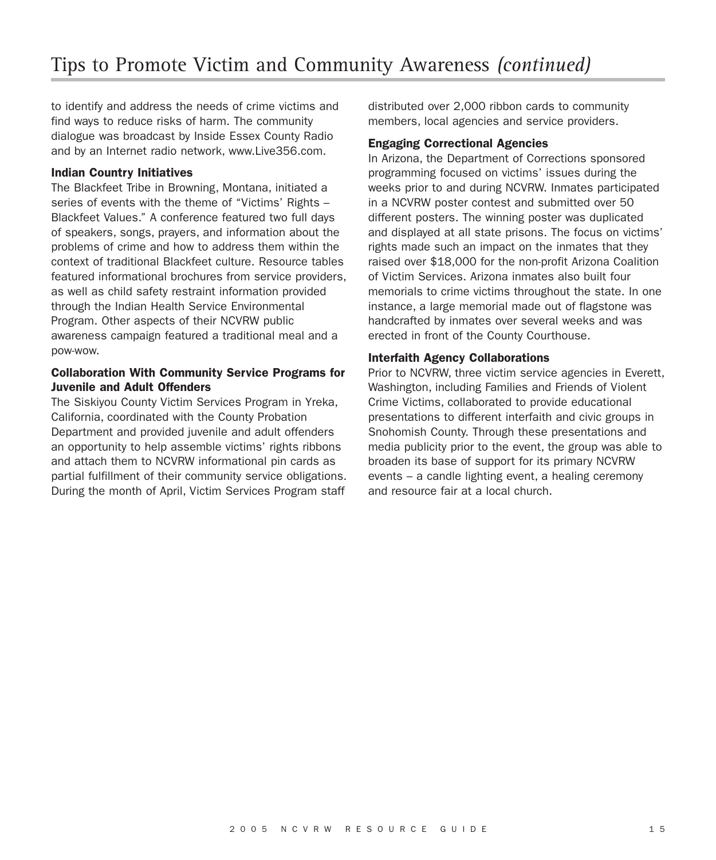to identify and address the needs of crime victims and find ways to reduce risks of harm. The community dialogue was broadcast by Inside Essex County Radio and by an Internet radio network, www.Live356.com.

### **Indian Country Initiatives**

The Blackfeet Tribe in Browning, Montana, initiated a series of events with the theme of "Victims' Rights – Blackfeet Values." A conference featured two full days of speakers, songs, prayers, and information about the problems of crime and how to address them within the context of traditional Blackfeet culture. Resource tables featured informational brochures from service providers, as well as child safety restraint information provided through the Indian Health Service Environmental Program. Other aspects of their NCVRW public awareness campaign featured a traditional meal and a pow-wow.

### **Collaboration With Community Service Programs for Juvenile and Adult Offenders**

The Siskiyou County Victim Services Program in Yreka, California, coordinated with the County Probation Department and provided juvenile and adult offenders an opportunity to help assemble victims' rights ribbons and attach them to NCVRW informational pin cards as partial fulfillment of their community service obligations. During the month of April, Victim Services Program staff

distributed over 2,000 ribbon cards to community members, local agencies and service providers.

#### **Engaging Correctional Agencies**

In Arizona, the Department of Corrections sponsored programming focused on victims' issues during the weeks prior to and during NCVRW. Inmates participated in a NCVRW poster contest and submitted over 50 different posters. The winning poster was duplicated and displayed at all state prisons. The focus on victims' rights made such an impact on the inmates that they raised over \$18,000 for the non-profit Arizona Coalition of Victim Services. Arizona inmates also built four memorials to crime victims throughout the state. In one instance, a large memorial made out of flagstone was handcrafted by inmates over several weeks and was erected in front of the County Courthouse.

### **Interfaith Agency Collaborations**

Prior to NCVRW, three victim service agencies in Everett, Washington, including Families and Friends of Violent Crime Victims, collaborated to provide educational presentations to different interfaith and civic groups in Snohomish County. Through these presentations and media publicity prior to the event, the group was able to broaden its base of support for its primary NCVRW events – a candle lighting event, a healing ceremony and resource fair at a local church.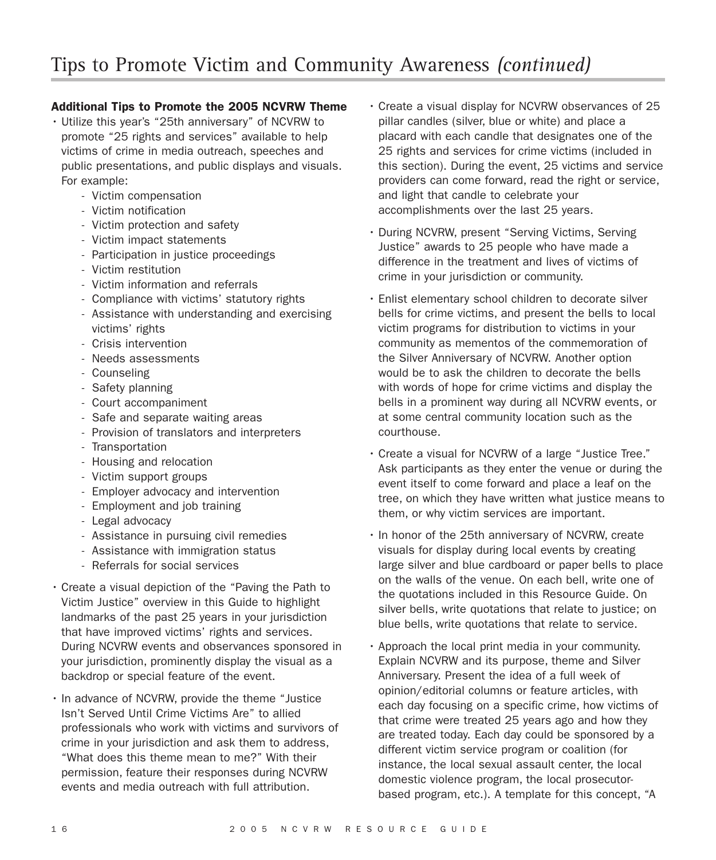# **Additional Tips to Promote the 2005 NCVRW Theme**

- Utilize this year's "25th anniversary" of NCVRW to promote "25 rights and services" available to help victims of crime in media outreach, speeches and public presentations, and public displays and visuals. For example:
	- Victim compensation
	- Victim notification
	- Victim protection and safety
	- Victim impact statements
	- Participation in justice proceedings
	- Victim restitution
	- Victim information and referrals
	- Compliance with victims' statutory rights
	- Assistance with understanding and exercising victims' rights
	- Crisis intervention
	- Needs assessments
	- Counseling
	- Safety planning
	- Court accompaniment
	- Safe and separate waiting areas
	- Provision of translators and interpreters
	- Transportation
	- Housing and relocation
	- Victim support groups
	- Employer advocacy and intervention
	- Employment and job training
	- Legal advocacy
	- Assistance in pursuing civil remedies
	- Assistance with immigration status
	- Referrals for social services
- Create a visual depiction of the "Paving the Path to Victim Justice" overview in this Guide to highlight landmarks of the past 25 years in your jurisdiction that have improved victims' rights and services. During NCVRW events and observances sponsored in your jurisdiction, prominently display the visual as a backdrop or special feature of the event.
- In advance of NCVRW, provide the theme "Justice Isn't Served Until Crime Victims Are" to allied professionals who work with victims and survivors of crime in your jurisdiction and ask them to address, "What does this theme mean to me?" With their permission, feature their responses during NCVRW events and media outreach with full attribution.
- Create a visual display for NCVRW observances of 25 pillar candles (silver, blue or white) and place a placard with each candle that designates one of the 25 rights and services for crime victims (included in this section). During the event, 25 victims and service providers can come forward, read the right or service, and light that candle to celebrate your accomplishments over the last 25 years.
- During NCVRW, present "Serving Victims, Serving Justice" awards to 25 people who have made a difference in the treatment and lives of victims of crime in your jurisdiction or community.
- Enlist elementary school children to decorate silver bells for crime victims, and present the bells to local victim programs for distribution to victims in your community as mementos of the commemoration of the Silver Anniversary of NCVRW. Another option would be to ask the children to decorate the bells with words of hope for crime victims and display the bells in a prominent way during all NCVRW events, or at some central community location such as the courthouse.
- Create a visual for NCVRW of a large "Justice Tree." Ask participants as they enter the venue or during the event itself to come forward and place a leaf on the tree, on which they have written what justice means to them, or why victim services are important.
- In honor of the 25th anniversary of NCVRW, create visuals for display during local events by creating large silver and blue cardboard or paper bells to place on the walls of the venue. On each bell, write one of the quotations included in this Resource Guide. On silver bells, write quotations that relate to justice; on blue bells, write quotations that relate to service.
- Approach the local print media in your community. Explain NCVRW and its purpose, theme and Silver Anniversary. Present the idea of a full week of opinion/editorial columns or feature articles, with each day focusing on a specific crime, how victims of that crime were treated 25 years ago and how they are treated today. Each day could be sponsored by a different victim service program or coalition (for instance, the local sexual assault center, the local domestic violence program, the local prosecutorbased program, etc.). A template for this concept, "A